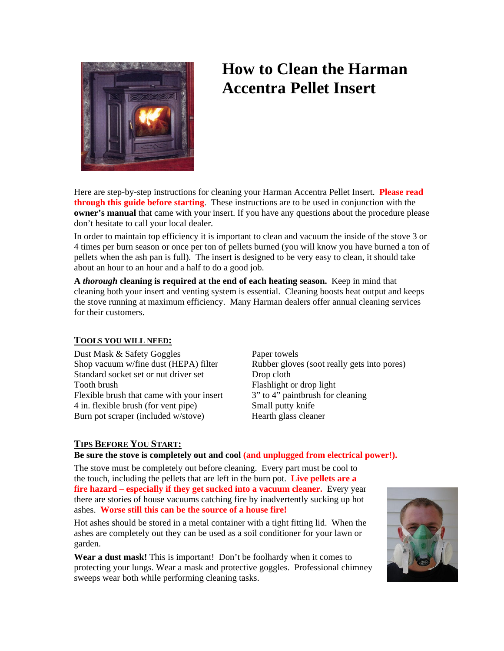

# **How to Clean the Harman Accentra Pellet Insert**

Here are step-by-step instructions for cleaning your Harman Accentra Pellet Insert. **Please read through this guide before starting**. These instructions are to be used in conjunction with the **owner's manual** that came with your insert. If you have any questions about the procedure please don't hesitate to call your local dealer.

In order to maintain top efficiency it is important to clean and vacuum the inside of the stove 3 or 4 times per burn season or once per ton of pellets burned (you will know you have burned a ton of pellets when the ash pan is full). The insert is designed to be very easy to clean, it should take about an hour to an hour and a half to do a good job.

**A** *thorough* **cleaning is required at the end of each heating season.** Keep in mind that cleaning both your insert and venting system is essential. Cleaning boosts heat output and keeps the stove running at maximum efficiency. Many Harman dealers offer annual cleaning services for their customers.

## **TOOLS YOU WILL NEED:**

Dust Mask & Safety Goggles Paper towels Standard socket set or nut driver set Drop cloth Tooth brush<br>Flashlight or drop light<br>Flexible brush that came with your insert 3" to 4" paintbrush for cleaning Flexible brush that came with your insert 4 in. flexible brush (for vent pipe) Small putty knife Burn pot scraper (included w/stove) Hearth glass cleaner

Shop vacuum w/fine dust (HEPA) filter Rubber gloves (soot really gets into pores)

# **TIPS BEFORE YOU START:**

#### **Be sure the stove is completely out and cool (and unplugged from electrical power!).**

The stove must be completely out before cleaning. Every part must be cool to the touch, including the pellets that are left in the burn pot. **Live pellets are a fire hazard – especially if they get sucked into a vacuum cleaner.** Every year there are stories of house vacuums catching fire by inadvertently sucking up hot ashes. **Worse still this can be the source of a house fire!**

Hot ashes should be stored in a metal container with a tight fitting lid. When the ashes are completely out they can be used as a soil conditioner for your lawn or garden.

**Wear a dust mask!** This is important! Don't be foolhardy when it comes to protecting your lungs. Wear a mask and protective goggles. Professional chimney sweeps wear both while performing cleaning tasks.

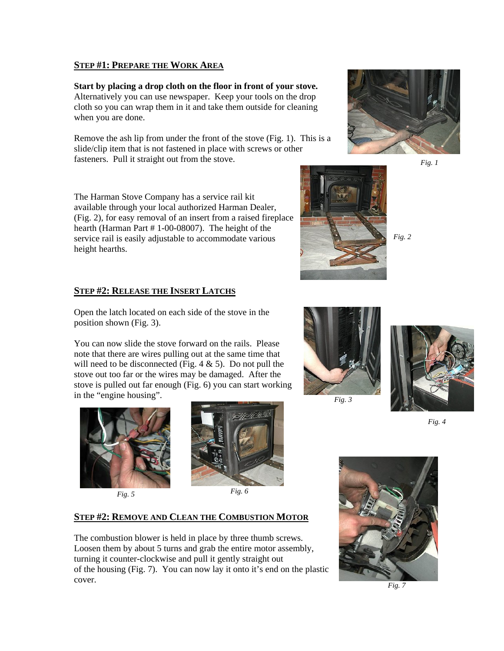#### **STEP #1: PREPARE THE WORK AREA**

**Start by placing a drop cloth on the floor in front of your stove.**  Alternatively you can use newspaper. Keep your tools on the drop cloth so you can wrap them in it and take them outside for cleaning when you are done.

Remove the ash lip from under the front of the stove (Fig. 1). This is a slide/clip item that is not fastened in place with screws or other fasteners. Pull it straight out from the stove.



*Fig. 2* 

*Fig. 1* 

The Harman Stove Company has a service rail kit available through your local authorized Harman Dealer, (Fig. 2), for easy removal of an insert from a raised fireplace hearth (Harman Part # 1-00-08007). The height of the service rail is easily adjustable to accommodate various height hearths.

## **STEP #2: RELEASE THE INSERT LATCHS**

Open the latch located on each side of the stove in the position shown (Fig. 3).

You can now slide the stove forward on the rails. Please note that there are wires pulling out at the same time that will need to be disconnected (Fig.  $4 \& 5$ ). Do not pull the stove out too far or the wires may be damaged. After the stove is pulled out far enough (Fig. 6) you can start working in the "engine housing".





#### **STEP #2: REMOVE AND CLEAN THE COMBUSTION MOTOR**

The combustion blower is held in place by three thumb screws. Loosen them by about 5 turns and grab the entire motor assembly, turning it counter-clockwise and pull it gently straight out of the housing (Fig. 7). You can now lay it onto it's end on the plastic cover.



*Fig. 3* 



*Fig. 4* 



*Fig. 7*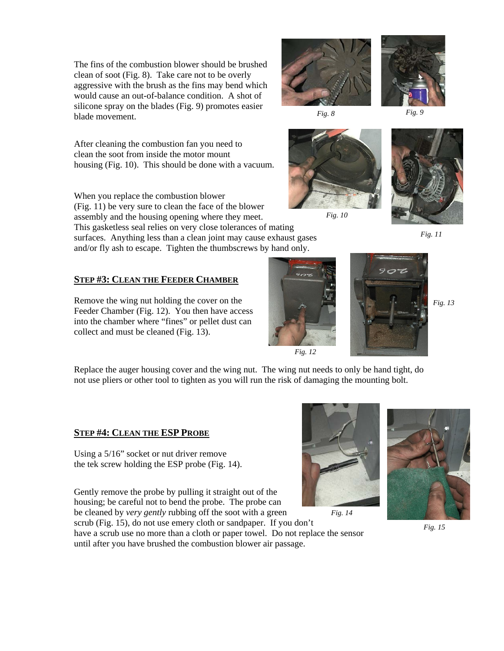The fins of the combustion blower should be brushed clean of soot (Fig. 8). Take care not to be overly aggressive with the brush as the fins may bend which would cause an out-of-balance condition. A shot of silicone spray on the blades (Fig. 9) promotes easier blade movement.

After cleaning the combustion fan you need to clean the soot from inside the motor mount housing (Fig. 10). This should be done with a vacuum.

When you replace the combustion blower (Fig. 11) be very sure to clean the face of the blower assembly and the housing opening where they meet. This gasketless seal relies on very close tolerances of mating surfaces. Anything less than a clean joint may cause exhaust gases

and/or fly ash to escape. Tighten the thumbscrews by hand only.

# **STEP #3: CLEAN THE FEEDER CHAMBER**

Remove the wing nut holding the cover on the Feeder Chamber (Fig. 12). You then have access into the chamber where "fines" or pellet dust can collect and must be cleaned (Fig. 13).

Replace the auger housing cover and the wing nut. The wing nut needs to only be hand tight, do not use pliers or other tool to tighten as you will run the risk of damaging the mounting bolt.

## **STEP #4: CLEAN THE ESP PROBE**

Using a 5/16" socket or nut driver remove the tek screw holding the ESP probe (Fig. 14).

Gently remove the probe by pulling it straight out of the housing; be careful not to bend the probe. The probe can be cleaned by *very gently* rubbing off the soot with a green

scrub (Fig. 15), do not use emery cloth or sandpaper. If you don't

have a scrub use no more than a cloth or paper towel. Do not replace the sensor until after you have brushed the combustion blower air passage.

*Fig. 15* 



*Fig. 14* 



*Fig. 12* 



*Fig. 10* 









*Fig. 13* 

*Fig. 9* 



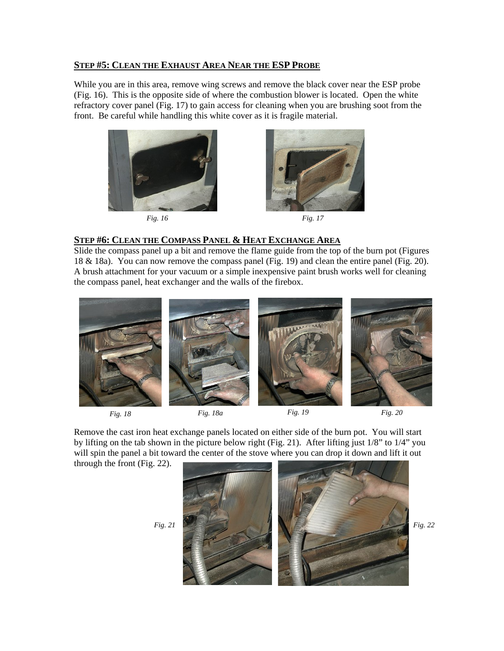#### **STEP #5: CLEAN THE EXHAUST AREA NEAR THE ESP PROBE**

While you are in this area, remove wing screws and remove the black cover near the ESP probe (Fig. 16). This is the opposite side of where the combustion blower is located. Open the white refractory cover panel (Fig. 17) to gain access for cleaning when you are brushing soot from the front. Be careful while handling this white cover as it is fragile material.



*Fig. 16 Fig. 17* 



#### **STEP #6: CLEAN THE COMPASS PANEL & HEAT EXCHANGE AREA**

Slide the compass panel up a bit and remove the flame guide from the top of the burn pot (Figures 18 & 18a). You can now remove the compass panel (Fig. 19) and clean the entire panel (Fig. 20). A brush attachment for your vacuum or a simple inexpensive paint brush works well for cleaning the compass panel, heat exchanger and the walls of the firebox.







Remove the cast iron heat exchange panels located on either side of the burn pot. You will start by lifting on the tab shown in the picture below right (Fig. 21). After lifting just 1/8" to 1/4" you will spin the panel a bit toward the center of the stove where you can drop it down and lift it out

through the front (Fig. 22).

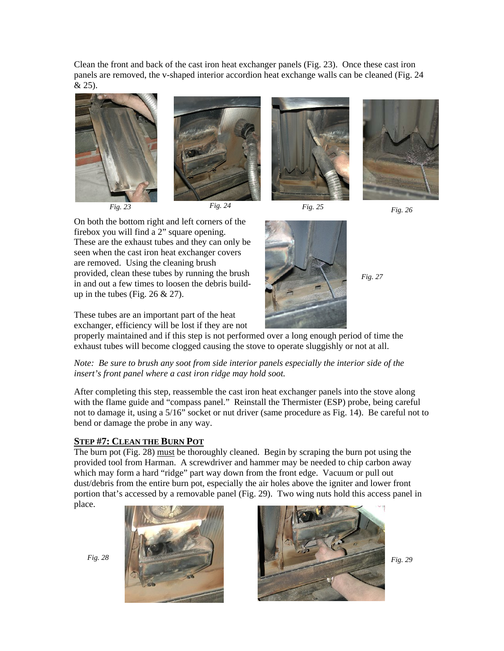Clean the front and back of the cast iron heat exchanger panels (Fig. 23). Once these cast iron panels are removed, the v-shaped interior accordion heat exchange walls can be cleaned (Fig. 24 & 25).











*Fig. 27* 

On both the bottom right and left corners of the firebox you will find a 2" square opening. These are the exhaust tubes and they can only be seen when the cast iron heat exchanger covers are removed. Using the cleaning brush provided, clean these tubes by running the brush in and out a few times to loosen the debris buildup in the tubes (Fig.  $26 \& 27$ ).

These tubes are an important part of the heat

exchanger, efficiency will be lost if they are not properly maintained and if this step is not performed over a long enough period of time the exhaust tubes will become clogged causing the stove to operate sluggishly or not at all.

*Note: Be sure to brush any soot from side interior panels especially the interior side of the insert's front panel where a cast iron ridge may hold soot.* 

After completing this step, reassemble the cast iron heat exchanger panels into the stove along with the flame guide and "compass panel." Reinstall the Thermister (ESP) probe, being careful not to damage it, using a 5/16" socket or nut driver (same procedure as Fig. 14). Be careful not to bend or damage the probe in any way.

## **STEP #7: CLEAN THE BURN POT**

The burn pot (Fig. 28) must be thoroughly cleaned. Begin by scraping the burn pot using the provided tool from Harman. A screwdriver and hammer may be needed to chip carbon away which may form a hard "ridge" part way down from the front edge. Vacuum or pull out dust/debris from the entire burn pot, especially the air holes above the igniter and lower front portion that's accessed by a removable panel (Fig. 29). Two wing nuts hold this access panel in place.



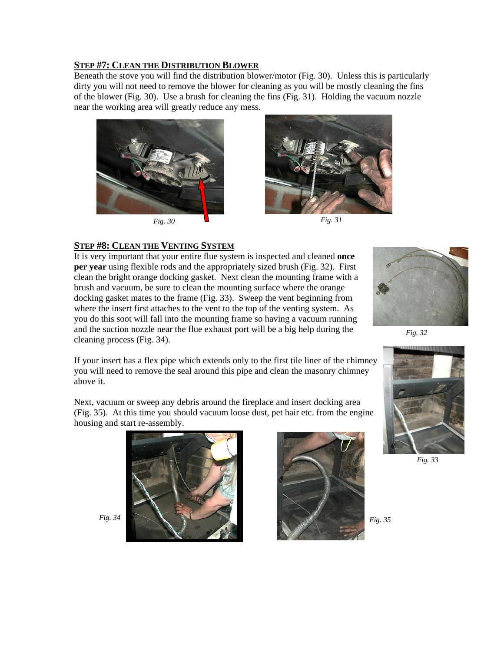# **STEP #7: CLEAN THE DISTRIBUTION BLOWER**

Beneath the stove you will find the distribution blower/motor (Fig. 30). Unless this is particularly dirty you will not need to remove the blower for cleaning as you will be mostly cleaning the fins of the blower (Fig. 30). Use a brush for cleaning the fins (Fig. 31). Holding the vacuum nozzle near the working area will greatly reduce any mess.





#### **STEP #8: CLEAN THE VENTING SYSTEM**

It is very important that your entire flue system is inspected and cleaned **once per year** using flexible rods and the appropriately sized brush (Fig. 32). First clean the bright orange docking gasket. Next clean the mounting frame with a brush and vacuum, be sure to clean the mounting surface where the orange docking gasket mates to the frame (Fig. 33). Sweep the vent beginning from where the insert first attaches to the vent to the top of the venting system. As you do this soot will fall into the mounting frame so having a vacuum running and the suction nozzle near the flue exhaust port will be a big help during the cleaning process (Fig. 34).



*Fig. 32* 

If your insert has a flex pipe which extends only to the first tile liner of the chimney you will need to remove the seal around this pipe and clean the masonry chimney above it.

Next, vacuum or sweep any debris around the fireplace and insert docking area (Fig. 35). At this time you should vacuum loose dust, pet hair etc. from the engine housing and start re-assembly.





*Fig. 34* 



*Fig. 33* 

*Fig. 35*